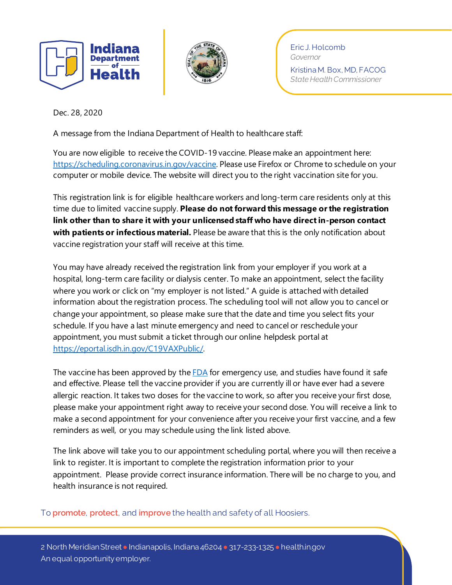



Eric J. Holcomb *Governor* Kristina M. Box, MD, FACOG *State Health Commissioner*

Dec. 28, 2020

A message from the Indiana Department of Health to healthcare staff:

You are now eligible to receive the COVID-19 vaccine. Please make an appointment here: [https://scheduling.coronavirus.in.gov/vaccine.](https://scheduling.coronavirus.in.gov/vaccine) Please use Firefox or Chrome to schedule on your computer or mobile device. The website will direct you to the right vaccination site for you.

This registration link is for eligible healthcare workers and long-term care residents only at this time due to limited vaccine supply. **Please do not forward this message or the registration link other than to share it with your unlicensed staff who have directin-person contact with patients or infectious material.** Please be aware that this is the only notification about vaccine registration your staff will receive at this time.

You may have already received the registration link from your employer if you work at a hospital, long-term care facility or dialysis center. To make an appointment, select the facility where you work or click on "my employer is not listed." A guide is attached with detailed information about the registration process. The scheduling tool will not allow you to cancel or change your appointment, so please make sure that the date and time you select fits your schedule. If you have a last minute emergency and need to cancel or reschedule your appointment, you must submit a ticket through our online helpdesk portal at [https://eportal.isdh.in.gov/C19VAXPublic/.](https://eportal.isdh.in.gov/C19VAXPublic/)

The vaccine has been approved by the  $FDA$  for emergency use, and studies have found it safe and effective. Please tell the vaccine provider if you are currently ill or have ever had a severe allergic reaction. It takes two doses for the vaccine to work, so after you receive your first dose, please make your appointment right away to receive your second dose. You will receive a link to make a second appointment for your convenience after you receive your first vaccine, and a few reminders as well, or you may schedule using the link listed above.

The link above will take you to our appointment scheduling portal, where you will then receive a link to register. It is important to complete the registration information prior to your appointment. Please provide correct insurance information. There will be no charge to you, and health insurance is not required.

To **promote**, **protect**, and **improve** the health and safety of all Hoosiers.

2 North Meridian Street • Indianapolis, Indiana 46204 • 317-233-1325 • health.in.gov An equal opportunity employer.